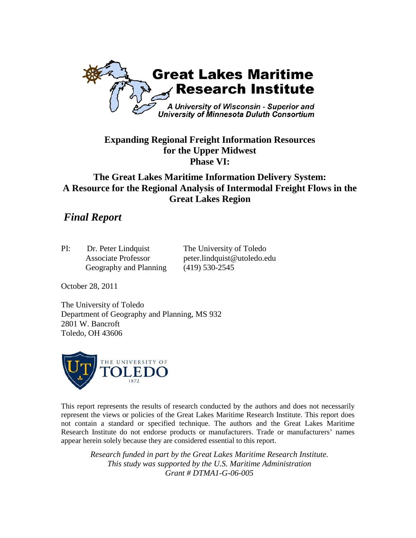

## **Expanding Regional Freight Information Resources for the Upper Midwest Phase VI:**

# **The Great Lakes Maritime Information Delivery System: A Resource for the Regional Analysis of Intermodal Freight Flows in the Great Lakes Region**

# *Final Report*

| PI: | Dr. Peter Lindquist        | The University of Toledo    |
|-----|----------------------------|-----------------------------|
|     | <b>Associate Professor</b> | peter.lindquist@utoledo.edu |
|     | Geography and Planning     | $(419)$ 530-2545            |

October 28, 2011

The University of Toledo Department of Geography and Planning, MS 932 2801 W. Bancroft Toledo, OH 43606



This report represents the results of research conducted by the authors and does not necessarily represent the views or policies of the Great Lakes Maritime Research Institute. This report does not contain a standard or specified technique. The authors and the Great Lakes Maritime Research Institute do not endorse products or manufacturers. Trade or manufacturers' names appear herein solely because they are considered essential to this report.

*Research funded in part by the Great Lakes Maritime Research Institute. This study was supported by the U.S. Maritime Administration Grant # DTMA1-G-06-005*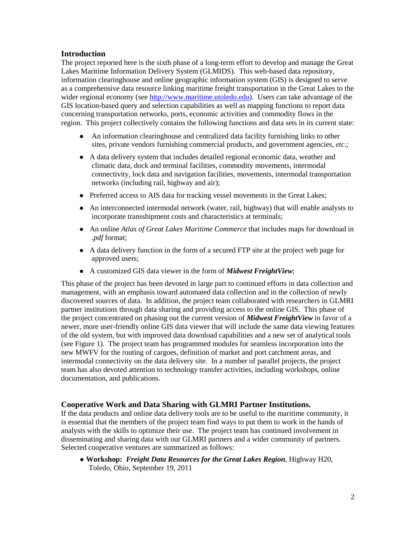## **Introduction**

The project reported here is the sixth phase of a long-term effort to develop and manage the Great Lakes Maritime Information Delivery System (GLMIDS). This web-based data repository, information clearinghouse and online geographic information system (GIS) is designed to serve as a comprehensive data resource linking maritime freight transportation in the Great Lakes to the wider regional economy (see [http://www.maritime.utoledo.edu\)](http://www.maritime.utoledo.edu/). Users can take advantage of the GIS location-based query and selection capabilities as well as mapping functions to report data concerning transportation networks, ports, economic activities and commodity flows in the region. This project collectively contains the following functions and data sets in its current state:

- An information clearinghouse and centralized data facility furnishing links to other sites, private vendors furnishing commercial products, and government agencies, *etc*.;
- A data delivery system that includes detailed regional economic data, weather and climatic data, dock and terminal facilities, commodity movements, intermodal connectivity, lock data and navigation facilities, movements, intermodal transportation networks (including rail, highway and air);
- Preferred access to AIS data for tracking vessel movements in the Great Lakes;
- An interconnected intermodal network (water, rail, highway) that will enable analysts to incorporate transshipment costs and characteristics at terminals;
- An online *Atlas of Great Lakes Maritime Commerce* that includes maps for download in .*pdf* format;
- A data delivery function in the form of a secured FTP site at the project web page for approved users;
- A customized GIS data viewer in the form of *Midwest FreightView*;

This phase of the project has been devoted in large part to continued efforts in data collection and management, with an emphasis toward automated data collection and in the collection of newly discovered sources of data. In addition, the project team collaborated with researchers in GLMRI partner institutions through data sharing and providing access to the online GIS. This phase of the project concentrated on phasing out the current version of *Midwest FreightView* in favor of a newer, more user-friendly online GIS data viewer that will include the same data viewing features of the old system, but with improved data download capabilities and a new set of analytical tools (see Figure 1). The project team has programmed modules for seamless incorporation into the new MWFV for the routing of cargoes, definition of market and port catchment areas, and intermodal connectivity on the data delivery site. In a number of parallel projects, the project team has also devoted attention to technology transfer activities, including workshops, online documentation, and publications.

#### **Cooperative Work and Data Sharing with GLMRI Partner Institutions.**

If the data products and online data delivery tools are to be useful to the maritime community, it is essential that the members of the project team find ways to put them to work in the hands of analysts with the skills to optimize their use. The project team has continued involvement in disseminating and sharing data with our GLMRI partners and a wider community of partners. Selected cooperative ventures are summarized as follows:

 **Workshop:** *Freight Data Resources for the Great Lakes Region*, Highway H20, Toledo, Ohio, September 19, 2011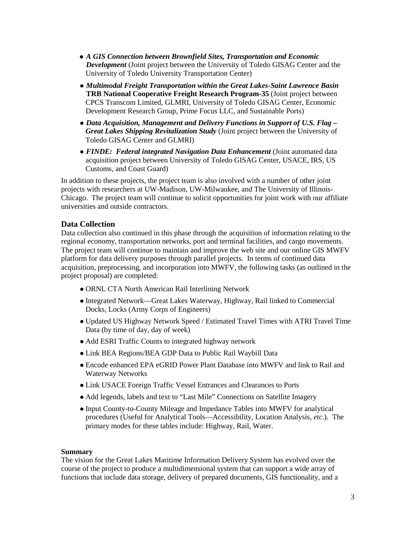- *A GIS Connection between Brownfield Sites, Transportation and Economic Development* (Joint project between the University of Toledo GISAG Center and the University of Toledo University Transportation Center)
- *Multimodal Freight Transportation within the Great Lakes-Saint Lawrence Basin* **TRB National Cooperative Freight Research Program-35** (Joint project between CPCS Transcom Limited, GLMRI, University of Toledo GISAG Center, Economic Development Research Group, Prime Focus LLC, and Sustainable Ports)
- *Data Acquisition, Management and Delivery Functions in Support of U.S. Flag – Great Lakes Shipping Revitalization Study* (Joint project between the University of Toledo GISAG Center and GLMRI)
- *FINDE: Federal integrated Navigation Data Enhancement* (Joint automated data acquisition project between University of Toledo GISAG Center, USACE, IRS, US Customs, and Coast Guard)

In addition to these projects, the project team is also involved with a number of other joint projects with researchers at UW-Madison, UW-Milwaukee, and The University of Illinois-Chicago. The project team will continue to solicit opportunities for joint work with our affiliate universities and outside contractors.

### **Data Collection**

Data collection also continued in this phase through the acquisition of information relating to the regional economy, transportation networks, port and terminal facilities, and cargo movements. The project team will continue to maintain and improve the web site and our online GIS MWFV platform for data delivery purposes through parallel projects. In terms of continued data acquisition, preprocessing, and incorporation into MWFV, the following tasks (as outlined in the project proposal) are completed:

- ORNL CTA North American Rail Interlining Network
- Integrated Network—Great Lakes Waterway, Highway, Rail linked to Commercial Docks, Locks (Army Corps of Engineers)
- Updated US Highway Network Speed / Estimated Travel Times with ATRI Travel Time Data (by time of day, day of week)
- Add ESRI Traffic Counts to integrated highway network
- Link BEA Regions/BEA GDP Data to Public Rail Waybill Data
- Encode enhanced EPA eGRID Power Plant Database into MWFV and link to Rail and Waterway Networks
- Link USACE Foreign Traffic Vessel Entrances and Clearances to Ports
- Add legends, labels and text to "Last Mile" Connections on Satellite Imagery
- Input County-to-County Mileage and Impedance Tables into MWFV for analytical procedures (Useful for Analytical Tools—Accessibility, Location Analysis, *etc*.). The primary modes for these tables include: Highway, Rail, Water.

#### **Summary**

The vision for the Great Lakes Maritime Information Delivery System has evolved over the course of the project to produce a multidimensional system that can support a wide array of functions that include data storage, delivery of prepared documents, GIS functionality, and a